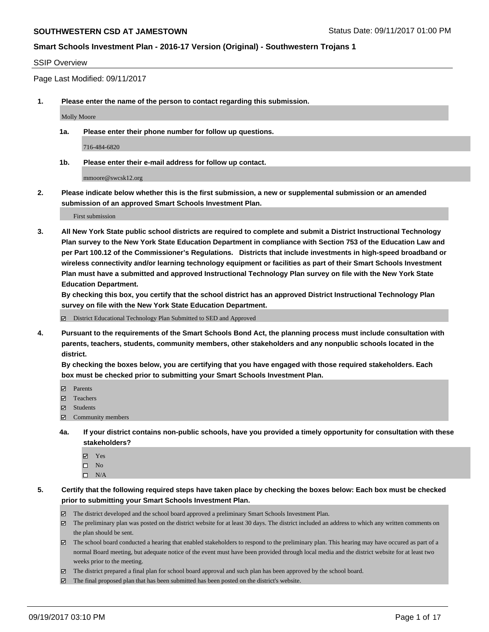## **Smart Schools Investment Plan - 2016-17 Version (Original) - Southwestern Trojans 1**

#### SSIP Overview

Page Last Modified: 09/11/2017

**1. Please enter the name of the person to contact regarding this submission.**

Molly Moore

**1a. Please enter their phone number for follow up questions.**

716-484-6820

**1b. Please enter their e-mail address for follow up contact.**

mmoore@swcsk12.org

**2. Please indicate below whether this is the first submission, a new or supplemental submission or an amended submission of an approved Smart Schools Investment Plan.**

First submission

**3. All New York State public school districts are required to complete and submit a District Instructional Technology Plan survey to the New York State Education Department in compliance with Section 753 of the Education Law and per Part 100.12 of the Commissioner's Regulations. Districts that include investments in high-speed broadband or wireless connectivity and/or learning technology equipment or facilities as part of their Smart Schools Investment Plan must have a submitted and approved Instructional Technology Plan survey on file with the New York State Education Department.** 

**By checking this box, you certify that the school district has an approved District Instructional Technology Plan survey on file with the New York State Education Department.**

District Educational Technology Plan Submitted to SED and Approved

**4. Pursuant to the requirements of the Smart Schools Bond Act, the planning process must include consultation with parents, teachers, students, community members, other stakeholders and any nonpublic schools located in the district.** 

**By checking the boxes below, you are certifying that you have engaged with those required stakeholders. Each box must be checked prior to submitting your Smart Schools Investment Plan.**

- **Parents**
- Teachers
- **☑** Students
- $\Xi$  Community members
- **4a. If your district contains non-public schools, have you provided a timely opportunity for consultation with these stakeholders?**
	- **Ø** Yes
	- $\square$  No
	- $\square$  N/A

**5. Certify that the following required steps have taken place by checking the boxes below: Each box must be checked prior to submitting your Smart Schools Investment Plan.**

- The district developed and the school board approved a preliminary Smart Schools Investment Plan.
- The preliminary plan was posted on the district website for at least 30 days. The district included an address to which any written comments on the plan should be sent.
- The school board conducted a hearing that enabled stakeholders to respond to the preliminary plan. This hearing may have occured as part of a normal Board meeting, but adequate notice of the event must have been provided through local media and the district website for at least two weeks prior to the meeting.
- The district prepared a final plan for school board approval and such plan has been approved by the school board.
- $\boxtimes$  The final proposed plan that has been submitted has been posted on the district's website.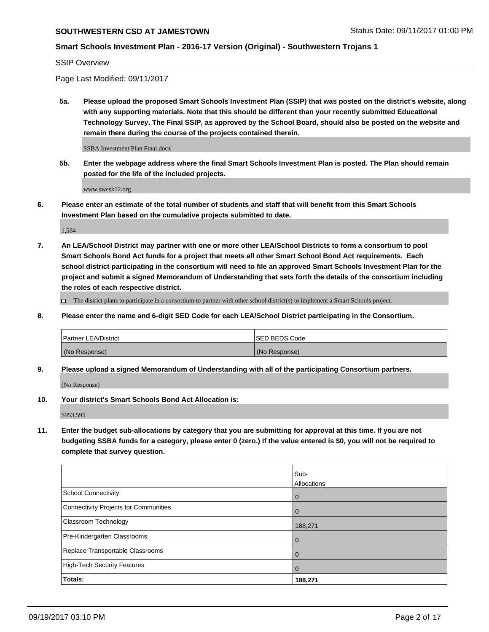# **Smart Schools Investment Plan - 2016-17 Version (Original) - Southwestern Trojans 1**

SSIP Overview

Page Last Modified: 09/11/2017

**5a. Please upload the proposed Smart Schools Investment Plan (SSIP) that was posted on the district's website, along with any supporting materials. Note that this should be different than your recently submitted Educational Technology Survey. The Final SSIP, as approved by the School Board, should also be posted on the website and remain there during the course of the projects contained therein.**

SSBA Investment Plan Final.docx

**5b. Enter the webpage address where the final Smart Schools Investment Plan is posted. The Plan should remain posted for the life of the included projects.**

www.swcsk12.org

**6. Please enter an estimate of the total number of students and staff that will benefit from this Smart Schools Investment Plan based on the cumulative projects submitted to date.**

1,564

**7. An LEA/School District may partner with one or more other LEA/School Districts to form a consortium to pool Smart Schools Bond Act funds for a project that meets all other Smart School Bond Act requirements. Each school district participating in the consortium will need to file an approved Smart Schools Investment Plan for the project and submit a signed Memorandum of Understanding that sets forth the details of the consortium including the roles of each respective district.**

 $\Box$  The district plans to participate in a consortium to partner with other school district(s) to implement a Smart Schools project.

**8. Please enter the name and 6-digit SED Code for each LEA/School District participating in the Consortium.**

| <b>Partner LEA/District</b> | <b>ISED BEDS Code</b> |
|-----------------------------|-----------------------|
| (No Response)               | (No Response)         |

**9. Please upload a signed Memorandum of Understanding with all of the participating Consortium partners.**

(No Response)

**10. Your district's Smart Schools Bond Act Allocation is:**

\$953,595

**11. Enter the budget sub-allocations by category that you are submitting for approval at this time. If you are not budgeting SSBA funds for a category, please enter 0 (zero.) If the value entered is \$0, you will not be required to complete that survey question.**

|                                              | Sub-<br>Allocations |
|----------------------------------------------|---------------------|
| <b>School Connectivity</b>                   | $\mathbf 0$         |
| <b>Connectivity Projects for Communities</b> | 0                   |
| Classroom Technology                         | 188,271             |
| Pre-Kindergarten Classrooms                  | 0                   |
| Replace Transportable Classrooms             | $\mathbf 0$         |
| <b>High-Tech Security Features</b>           | 0                   |
| Totals:                                      | 188,271             |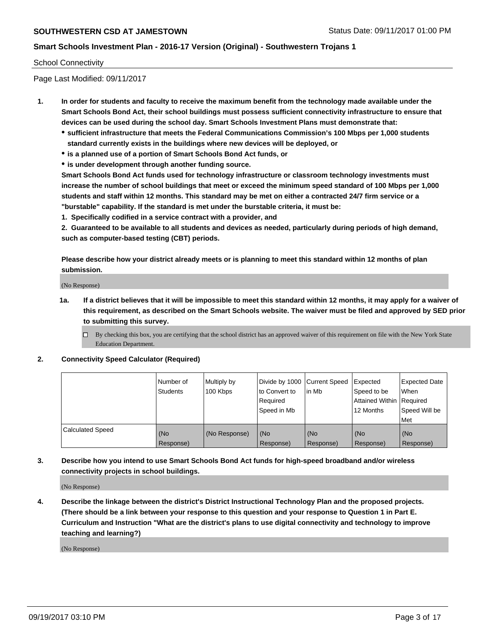## **Smart Schools Investment Plan - 2016-17 Version (Original) - Southwestern Trojans 1**

#### School Connectivity

Page Last Modified: 09/11/2017

- **1. In order for students and faculty to receive the maximum benefit from the technology made available under the Smart Schools Bond Act, their school buildings must possess sufficient connectivity infrastructure to ensure that devices can be used during the school day. Smart Schools Investment Plans must demonstrate that:**
	- **sufficient infrastructure that meets the Federal Communications Commission's 100 Mbps per 1,000 students standard currently exists in the buildings where new devices will be deployed, or**
	- **is a planned use of a portion of Smart Schools Bond Act funds, or**
	- **is under development through another funding source.**

**Smart Schools Bond Act funds used for technology infrastructure or classroom technology investments must increase the number of school buildings that meet or exceed the minimum speed standard of 100 Mbps per 1,000 students and staff within 12 months. This standard may be met on either a contracted 24/7 firm service or a "burstable" capability. If the standard is met under the burstable criteria, it must be:**

**1. Specifically codified in a service contract with a provider, and**

**2. Guaranteed to be available to all students and devices as needed, particularly during periods of high demand, such as computer-based testing (CBT) periods.**

**Please describe how your district already meets or is planning to meet this standard within 12 months of plan submission.**

(No Response)

**1a. If a district believes that it will be impossible to meet this standard within 12 months, it may apply for a waiver of this requirement, as described on the Smart Schools website. The waiver must be filed and approved by SED prior to submitting this survey.**

**2. Connectivity Speed Calculator (Required)**

|                         | Number of<br><b>Students</b> | Multiply by<br>100 Kbps | Divide by 1000   Current Speed<br>to Convert to<br>Required<br>Speed in Mb | lin Mb           | Expected<br>Speed to be<br>Attained Within   Required<br>12 Months | <b>Expected Date</b><br>When<br>Speed Will be<br>Met |
|-------------------------|------------------------------|-------------------------|----------------------------------------------------------------------------|------------------|--------------------------------------------------------------------|------------------------------------------------------|
| <b>Calculated Speed</b> | (No<br>Response)             | (No Response)           | (No<br>Response)                                                           | (No<br>Response) | (No<br>Response)                                                   | (No<br>Response)                                     |

**3. Describe how you intend to use Smart Schools Bond Act funds for high-speed broadband and/or wireless connectivity projects in school buildings.**

(No Response)

**4. Describe the linkage between the district's District Instructional Technology Plan and the proposed projects. (There should be a link between your response to this question and your response to Question 1 in Part E. Curriculum and Instruction "What are the district's plans to use digital connectivity and technology to improve teaching and learning?)**

(No Response)

 $\Box$  By checking this box, you are certifying that the school district has an approved waiver of this requirement on file with the New York State Education Department.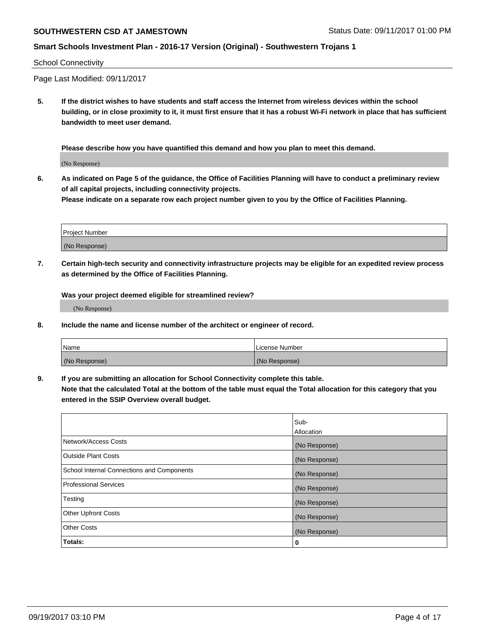## **Smart Schools Investment Plan - 2016-17 Version (Original) - Southwestern Trojans 1**

#### School Connectivity

Page Last Modified: 09/11/2017

**5. If the district wishes to have students and staff access the Internet from wireless devices within the school building, or in close proximity to it, it must first ensure that it has a robust Wi-Fi network in place that has sufficient bandwidth to meet user demand.**

**Please describe how you have quantified this demand and how you plan to meet this demand.**

(No Response)

**6. As indicated on Page 5 of the guidance, the Office of Facilities Planning will have to conduct a preliminary review of all capital projects, including connectivity projects.**

**Please indicate on a separate row each project number given to you by the Office of Facilities Planning.**

| Project Number |  |
|----------------|--|
|                |  |
| (No Response)  |  |

**7. Certain high-tech security and connectivity infrastructure projects may be eligible for an expedited review process as determined by the Office of Facilities Planning.**

**Was your project deemed eligible for streamlined review?**

(No Response)

**8. Include the name and license number of the architect or engineer of record.**

| Name          | License Number |
|---------------|----------------|
| (No Response) | (No Response)  |

**9. If you are submitting an allocation for School Connectivity complete this table.**

**Note that the calculated Total at the bottom of the table must equal the Total allocation for this category that you entered in the SSIP Overview overall budget.** 

|                                            | Sub-          |
|--------------------------------------------|---------------|
|                                            | Allocation    |
| Network/Access Costs                       | (No Response) |
| <b>Outside Plant Costs</b>                 | (No Response) |
| School Internal Connections and Components | (No Response) |
| <b>Professional Services</b>               | (No Response) |
| Testing                                    | (No Response) |
| <b>Other Upfront Costs</b>                 | (No Response) |
| <b>Other Costs</b>                         | (No Response) |
| Totals:                                    | 0             |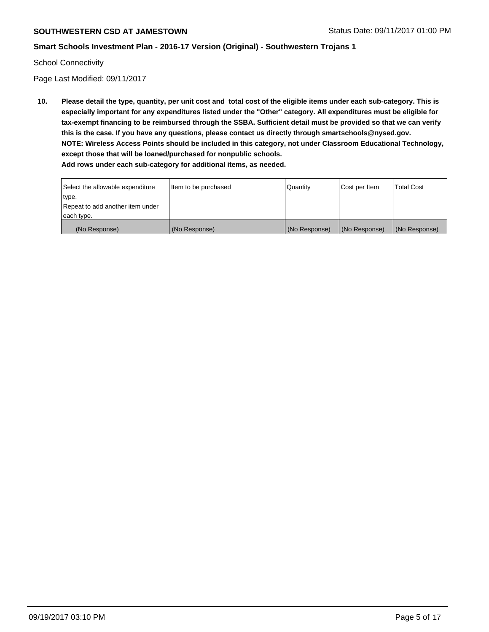## **Smart Schools Investment Plan - 2016-17 Version (Original) - Southwestern Trojans 1**

School Connectivity

Page Last Modified: 09/11/2017

**10. Please detail the type, quantity, per unit cost and total cost of the eligible items under each sub-category. This is especially important for any expenditures listed under the "Other" category. All expenditures must be eligible for tax-exempt financing to be reimbursed through the SSBA. Sufficient detail must be provided so that we can verify this is the case. If you have any questions, please contact us directly through smartschools@nysed.gov. NOTE: Wireless Access Points should be included in this category, not under Classroom Educational Technology, except those that will be loaned/purchased for nonpublic schools. Add rows under each sub-category for additional items, as needed.**

Select the allowable expenditure type. Repeat to add another item under each type. Item to be purchased  $\sqrt{$  Quantity  $\sqrt{}$  Cost per Item  $\sqrt{}$  Total Cost (No Response) (No Response) (No Response) (No Response) (No Response)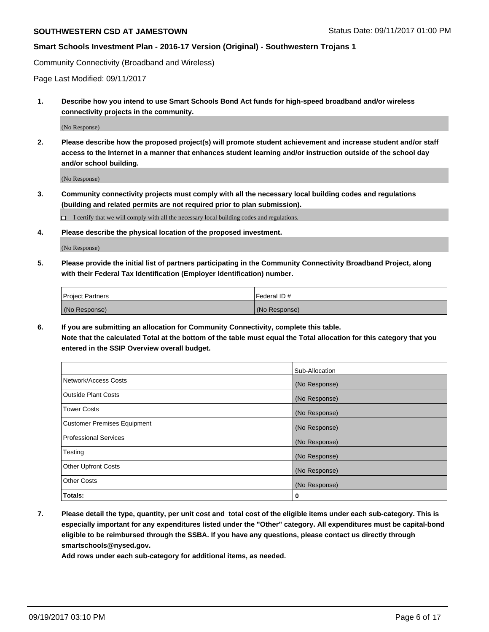#### **Smart Schools Investment Plan - 2016-17 Version (Original) - Southwestern Trojans 1**

Community Connectivity (Broadband and Wireless)

Page Last Modified: 09/11/2017

**1. Describe how you intend to use Smart Schools Bond Act funds for high-speed broadband and/or wireless connectivity projects in the community.**

(No Response)

**2. Please describe how the proposed project(s) will promote student achievement and increase student and/or staff access to the Internet in a manner that enhances student learning and/or instruction outside of the school day and/or school building.**

(No Response)

- **3. Community connectivity projects must comply with all the necessary local building codes and regulations (building and related permits are not required prior to plan submission).**
	- $\Box$  I certify that we will comply with all the necessary local building codes and regulations.
- **4. Please describe the physical location of the proposed investment.**

(No Response)

**5. Please provide the initial list of partners participating in the Community Connectivity Broadband Project, along with their Federal Tax Identification (Employer Identification) number.**

| <b>Project Partners</b> | l Federal ID # |
|-------------------------|----------------|
| (No Response)           | (No Response)  |

**6. If you are submitting an allocation for Community Connectivity, complete this table. Note that the calculated Total at the bottom of the table must equal the Total allocation for this category that you entered in the SSIP Overview overall budget.**

|                                    | Sub-Allocation |
|------------------------------------|----------------|
| Network/Access Costs               | (No Response)  |
| <b>Outside Plant Costs</b>         | (No Response)  |
| <b>Tower Costs</b>                 | (No Response)  |
| <b>Customer Premises Equipment</b> | (No Response)  |
| <b>Professional Services</b>       | (No Response)  |
| Testing                            | (No Response)  |
| <b>Other Upfront Costs</b>         | (No Response)  |
| <b>Other Costs</b>                 | (No Response)  |
| Totals:                            | 0              |

**7. Please detail the type, quantity, per unit cost and total cost of the eligible items under each sub-category. This is especially important for any expenditures listed under the "Other" category. All expenditures must be capital-bond eligible to be reimbursed through the SSBA. If you have any questions, please contact us directly through smartschools@nysed.gov.**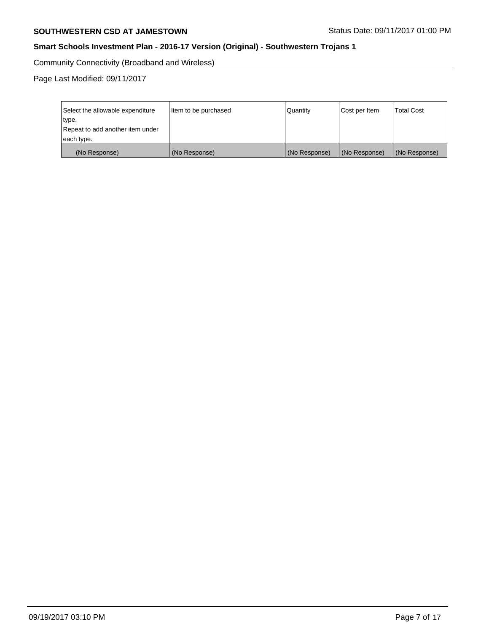## **SOUTHWESTERN CSD AT JAMESTOWN** STATUS Date: 09/11/2017 01:00 PM

## **Smart Schools Investment Plan - 2016-17 Version (Original) - Southwestern Trojans 1**

Community Connectivity (Broadband and Wireless)

Page Last Modified: 09/11/2017

| Select the allowable expenditure<br>type.<br>Repeat to add another item under | Item to be purchased | Quantity      | Cost per Item | <b>Total Cost</b> |
|-------------------------------------------------------------------------------|----------------------|---------------|---------------|-------------------|
| each type.                                                                    |                      |               |               |                   |
| (No Response)                                                                 | (No Response)        | (No Response) | (No Response) | (No Response)     |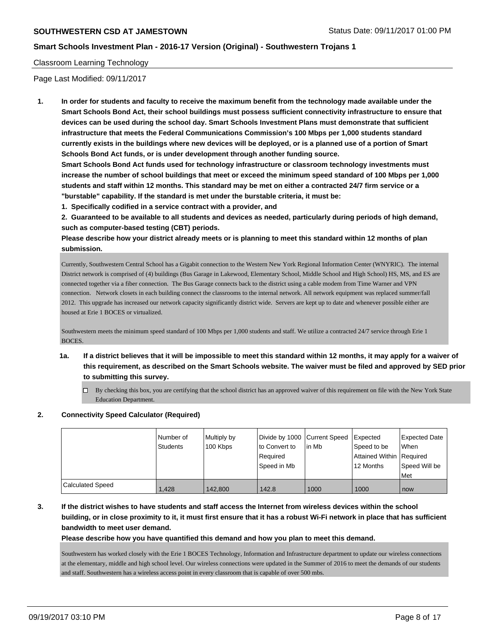## **Smart Schools Investment Plan - 2016-17 Version (Original) - Southwestern Trojans 1**

#### Classroom Learning Technology

Page Last Modified: 09/11/2017

**1. In order for students and faculty to receive the maximum benefit from the technology made available under the Smart Schools Bond Act, their school buildings must possess sufficient connectivity infrastructure to ensure that devices can be used during the school day. Smart Schools Investment Plans must demonstrate that sufficient infrastructure that meets the Federal Communications Commission's 100 Mbps per 1,000 students standard currently exists in the buildings where new devices will be deployed, or is a planned use of a portion of Smart Schools Bond Act funds, or is under development through another funding source.**

**Smart Schools Bond Act funds used for technology infrastructure or classroom technology investments must increase the number of school buildings that meet or exceed the minimum speed standard of 100 Mbps per 1,000 students and staff within 12 months. This standard may be met on either a contracted 24/7 firm service or a "burstable" capability. If the standard is met under the burstable criteria, it must be:**

**1. Specifically codified in a service contract with a provider, and**

**2. Guaranteed to be available to all students and devices as needed, particularly during periods of high demand, such as computer-based testing (CBT) periods.**

**Please describe how your district already meets or is planning to meet this standard within 12 months of plan submission.**

Currently, Southwestern Central School has a Gigabit connection to the Western New York Regional Information Center (WNYRIC). The internal District network is comprised of (4) buildings (Bus Garage in Lakewood, Elementary School, Middle School and High School) HS, MS, and ES are connected together via a fiber connection. The Bus Garage connects back to the district using a cable modem from Time Warner and VPN connection. Network closets in each building connect the classrooms to the internal network. All network equipment was replaced summer/fall 2012. This upgrade has increased our network capacity significantly district wide. Servers are kept up to date and whenever possible either are housed at Erie 1 BOCES or virtualized.

Southwestern meets the minimum speed standard of 100 Mbps per 1,000 students and staff. We utilize a contracted 24/7 service through Erie 1 BOCES.

- **1a. If a district believes that it will be impossible to meet this standard within 12 months, it may apply for a waiver of this requirement, as described on the Smart Schools website. The waiver must be filed and approved by SED prior to submitting this survey.**
	- $\Box$  By checking this box, you are certifying that the school district has an approved waiver of this requirement on file with the New York State Education Department.

#### **2. Connectivity Speed Calculator (Required)**

|                  | l Number of<br><b>Students</b> | Multiply by<br>100 Kbps | Divide by 1000 Current Speed<br>to Convert to<br>Required<br>Speed in Mb | lin Mb | Expected<br>Speed to be<br>Attained Within Required<br>12 Months | <b>Expected Date</b><br>When<br>Speed Will be<br>l Met |
|------------------|--------------------------------|-------------------------|--------------------------------------------------------------------------|--------|------------------------------------------------------------------|--------------------------------------------------------|
| Calculated Speed | 1.428                          | 142,800                 | 142.8                                                                    | 1000   | 1000                                                             | now                                                    |

**3. If the district wishes to have students and staff access the Internet from wireless devices within the school building, or in close proximity to it, it must first ensure that it has a robust Wi-Fi network in place that has sufficient bandwidth to meet user demand.**

#### **Please describe how you have quantified this demand and how you plan to meet this demand.**

Southwestern has worked closely with the Erie 1 BOCES Technology, Information and Infrastructure department to update our wireless connections at the elementary, middle and high school level. Our wireless connections were updated in the Summer of 2016 to meet the demands of our students and staff. Southwestern has a wireless access point in every classroom that is capable of over 500 mbs.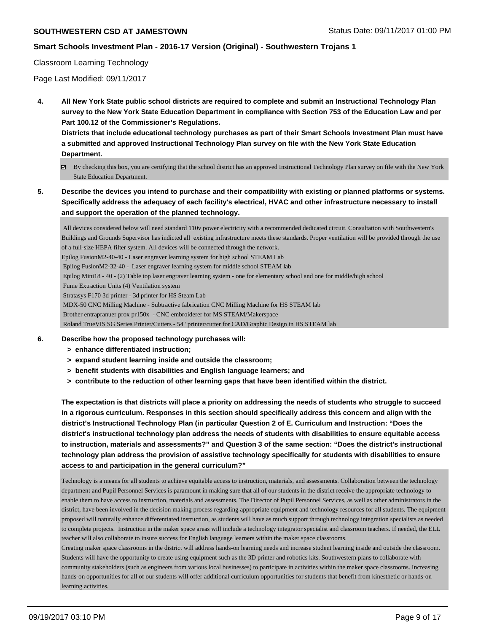## **Smart Schools Investment Plan - 2016-17 Version (Original) - Southwestern Trojans 1**

#### Classroom Learning Technology

Page Last Modified: 09/11/2017

**4. All New York State public school districts are required to complete and submit an Instructional Technology Plan survey to the New York State Education Department in compliance with Section 753 of the Education Law and per Part 100.12 of the Commissioner's Regulations.**

**Districts that include educational technology purchases as part of their Smart Schools Investment Plan must have a submitted and approved Instructional Technology Plan survey on file with the New York State Education Department.**

- By checking this box, you are certifying that the school district has an approved Instructional Technology Plan survey on file with the New York State Education Department.
- **5. Describe the devices you intend to purchase and their compatibility with existing or planned platforms or systems. Specifically address the adequacy of each facility's electrical, HVAC and other infrastructure necessary to install and support the operation of the planned technology.**

 All devices considered below will need standard 110v power electricity with a recommended dedicated circuit. Consultation with Southwestern's Buildings and Grounds Supervisor has indicted all existing infrastructure meets these standards. Proper ventilation will be provided through the use of a full-size HEPA filter system. All devices will be connected through the network. Epilog FusionM2-40-40 - Laser engraver learning system for high school STEAM Lab Epilog FusionM2-32-40 - Laser engraver learning system for middle school STEAM lab Epilog Mini18 - 40 - (2) Table top laser engraver learning system - one for elementary school and one for middle/high school Fume Extraction Units (4) Ventilation system Stratasys F170 3d printer - 3d printer for HS Steam Lab MDX-50 CNC Milling Machine - Subtractive fabrication CNC Milling Machine for HS STEAM lab Brother entrapranuer prox pr150x - CNC embroiderer for MS STEAM/Makerspace Roland TrueVIS SG Series Printer/Cutters - 54" printer/cutter for CAD/Graphic Design in HS STEAM lab

#### **6. Describe how the proposed technology purchases will:**

- **> enhance differentiated instruction;**
- **> expand student learning inside and outside the classroom;**
- **> benefit students with disabilities and English language learners; and**
- **> contribute to the reduction of other learning gaps that have been identified within the district.**

**The expectation is that districts will place a priority on addressing the needs of students who struggle to succeed in a rigorous curriculum. Responses in this section should specifically address this concern and align with the district's Instructional Technology Plan (in particular Question 2 of E. Curriculum and Instruction: "Does the district's instructional technology plan address the needs of students with disabilities to ensure equitable access to instruction, materials and assessments?" and Question 3 of the same section: "Does the district's instructional technology plan address the provision of assistive technology specifically for students with disabilities to ensure access to and participation in the general curriculum?"**

Technology is a means for all students to achieve equitable access to instruction, materials, and assessments. Collaboration between the technology department and Pupil Personnel Services is paramount in making sure that all of our students in the district receive the appropriate technology to enable them to have access to instruction, materials and assessments. The Director of Pupil Personnel Services, as well as other administrators in the district, have been involved in the decision making process regarding appropriate equipment and technology resources for all students. The equipment proposed will naturally enhance differentiated instruction, as students will have as much support through technology integration specialists as needed to complete projects. Instruction in the maker space areas will include a technology integrator specialist and classroom teachers. If needed, the ELL teacher will also collaborate to insure success for English language learners within the maker space classrooms.

Creating maker space classrooms in the district will address hands-on learning needs and increase student learning inside and outside the classroom. Students will have the opportunity to create using equipment such as the 3D printer and robotics kits. Southwestern plans to collaborate with community stakeholders (such as engineers from various local businesses) to participate in activities within the maker space classrooms. Increasing hands-on opportunities for all of our students will offer additional curriculum opportunities for students that benefit from kinesthetic or hands-on learning activities.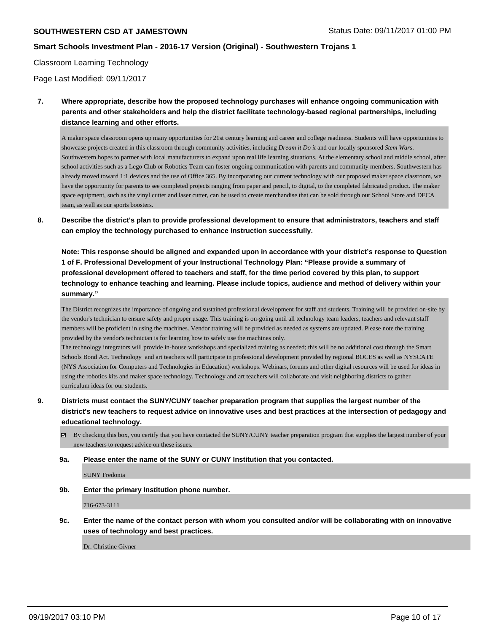## **Smart Schools Investment Plan - 2016-17 Version (Original) - Southwestern Trojans 1**

#### Classroom Learning Technology

Page Last Modified: 09/11/2017

**7. Where appropriate, describe how the proposed technology purchases will enhance ongoing communication with parents and other stakeholders and help the district facilitate technology-based regional partnerships, including distance learning and other efforts.**

A maker space classroom opens up many opportunities for 21st century learning and career and college readiness. Students will have opportunities to showcase projects created in this classroom through community activities, including *Dream it Do it* and our locally sponsored *Stem Wars*. Southwestern hopes to partner with local manufacturers to expand upon real life learning situations. At the elementary school and middle school, after school activities such as a Lego Club or Robotics Team can foster ongoing communication with parents and community members. Southwestern has already moved toward 1:1 devices and the use of Office 365. By incorporating our current technology with our proposed maker space classroom, we have the opportunity for parents to see completed projects ranging from paper and pencil, to digital, to the completed fabricated product. The maker space equipment, such as the vinyl cutter and laser cutter, can be used to create merchandise that can be sold through our School Store and DECA team, as well as our sports boosters.

**8. Describe the district's plan to provide professional development to ensure that administrators, teachers and staff can employ the technology purchased to enhance instruction successfully.**

**Note: This response should be aligned and expanded upon in accordance with your district's response to Question 1 of F. Professional Development of your Instructional Technology Plan: "Please provide a summary of professional development offered to teachers and staff, for the time period covered by this plan, to support technology to enhance teaching and learning. Please include topics, audience and method of delivery within your summary."**

The District recognizes the importance of ongoing and sustained professional development for staff and students. Training will be provided on-site by the vendor's technician to ensure safety and proper usage. This training is on-going until all technology team leaders, teachers and relevant staff members will be proficient in using the machines. Vendor training will be provided as needed as systems are updated. Please note the training provided by the vendor's technician is for learning how to safely use the machines only.

The technology integrators will provide in-house workshops and specialized training as needed; this will be no additional cost through the Smart Schools Bond Act. Technology and art teachers will participate in professional development provided by regional BOCES as well as NYSCATE (NYS Association for Computers and Technologies in Education) workshops. Webinars, forums and other digital resources will be used for ideas in using the robotics kits and maker space technology. Technology and art teachers will collaborate and visit neighboring districts to gather curriculum ideas for our students.

- **9. Districts must contact the SUNY/CUNY teacher preparation program that supplies the largest number of the district's new teachers to request advice on innovative uses and best practices at the intersection of pedagogy and educational technology.**
	- $\boxtimes$  By checking this box, you certify that you have contacted the SUNY/CUNY teacher preparation program that supplies the largest number of your new teachers to request advice on these issues.
	- **9a. Please enter the name of the SUNY or CUNY Institution that you contacted.**

SUNY Fredonia

**9b. Enter the primary Institution phone number.**

716-673-3111

**9c. Enter the name of the contact person with whom you consulted and/or will be collaborating with on innovative uses of technology and best practices.**

Dr. Christine Givner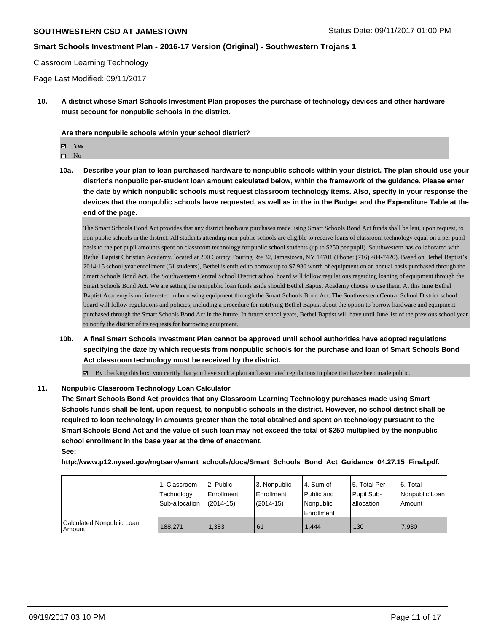## **Smart Schools Investment Plan - 2016-17 Version (Original) - Southwestern Trojans 1**

#### Classroom Learning Technology

Page Last Modified: 09/11/2017

**10. A district whose Smart Schools Investment Plan proposes the purchase of technology devices and other hardware must account for nonpublic schools in the district.**

**Are there nonpublic schools within your school district?**

Yes

 $\hfill \square$  No

**10a. Describe your plan to loan purchased hardware to nonpublic schools within your district. The plan should use your district's nonpublic per-student loan amount calculated below, within the framework of the guidance. Please enter the date by which nonpublic schools must request classroom technology items. Also, specify in your response the devices that the nonpublic schools have requested, as well as in the in the Budget and the Expenditure Table at the end of the page.**

The Smart Schools Bond Act provides that any district hardware purchases made using Smart Schools Bond Act funds shall be lent, upon request, to non-public schools in the district. All students attending non-public schools are eligible to receive loans of classroom technology equal on a per pupil basis to the per pupil amounts spent on classroom technology for public school students (up to \$250 per pupil). Southwestern has collaborated with Bethel Baptist Christian Academy, located at 200 County Touring Rte 32, Jamestown, NY 14701 (Phone: (716) 484-7420). Based on Bethel Baptist's 2014-15 school year enrollment (61 students), Bethel is entitled to borrow up to \$7,930 worth of equipment on an annual basis purchased through the Smart Schools Bond Act. The Southwestern Central School District school board will follow regulations regarding loaning of equipment through the Smart Schools Bond Act. We are setting the nonpublic loan funds aside should Bethel Baptist Academy choose to use them. At this time Bethel Baptist Academy is not interested in borrowing equipment through the Smart Schools Bond Act. The Southwestern Central School District school board will follow regulations and policies, including a procedure for notifying Bethel Baptist about the option to borrow hardware and equipment purchased through the Smart Schools Bond Act in the future. In future school years, Bethel Baptist will have until June 1st of the previous school year to notify the district of its requests for borrowing equipment.

**10b. A final Smart Schools Investment Plan cannot be approved until school authorities have adopted regulations specifying the date by which requests from nonpublic schools for the purchase and loan of Smart Schools Bond Act classroom technology must be received by the district.**

 $\boxtimes$  By checking this box, you certify that you have such a plan and associated regulations in place that have been made public.

#### **11. Nonpublic Classroom Technology Loan Calculator**

**The Smart Schools Bond Act provides that any Classroom Learning Technology purchases made using Smart Schools funds shall be lent, upon request, to nonpublic schools in the district. However, no school district shall be required to loan technology in amounts greater than the total obtained and spent on technology pursuant to the Smart Schools Bond Act and the value of such loan may not exceed the total of \$250 multiplied by the nonpublic school enrollment in the base year at the time of enactment. See:**

**http://www.p12.nysed.gov/mgtserv/smart\_schools/docs/Smart\_Schools\_Bond\_Act\_Guidance\_04.27.15\_Final.pdf.**

|                                       | 1. Classroom<br>Technology<br>Sub-allocation | 2. Public<br>Enrollment<br>$(2014-15)$ | l 3. Nonpublic<br>Enrollment<br>$(2014 - 15)$ | l 4. Sum of<br>Public and<br>Nonpublic<br>Enrollment | l 5. Total Per<br>Pupil Sub-<br>allocation | l 6. Total<br>Nonpublic Loan<br>l Amount |
|---------------------------------------|----------------------------------------------|----------------------------------------|-----------------------------------------------|------------------------------------------------------|--------------------------------------------|------------------------------------------|
| Calculated Nonpublic Loan<br>  Amount | 188,271                                      | 1.383                                  | 61                                            | 1.444                                                | 130                                        | 7.930                                    |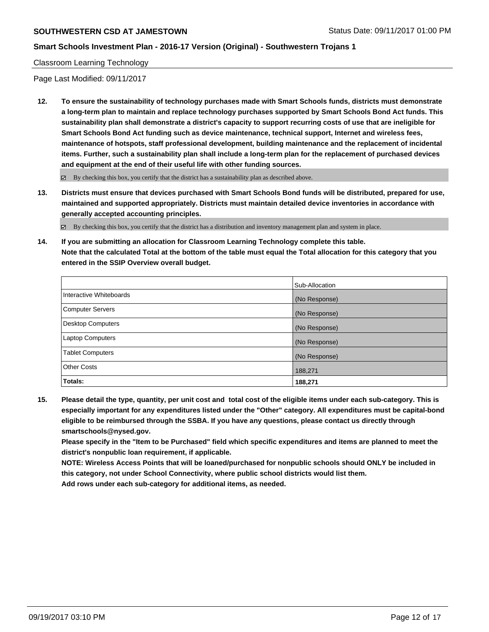## **Smart Schools Investment Plan - 2016-17 Version (Original) - Southwestern Trojans 1**

#### Classroom Learning Technology

Page Last Modified: 09/11/2017

**12. To ensure the sustainability of technology purchases made with Smart Schools funds, districts must demonstrate a long-term plan to maintain and replace technology purchases supported by Smart Schools Bond Act funds. This sustainability plan shall demonstrate a district's capacity to support recurring costs of use that are ineligible for Smart Schools Bond Act funding such as device maintenance, technical support, Internet and wireless fees, maintenance of hotspots, staff professional development, building maintenance and the replacement of incidental items. Further, such a sustainability plan shall include a long-term plan for the replacement of purchased devices and equipment at the end of their useful life with other funding sources.**

 $\boxtimes$  By checking this box, you certify that the district has a sustainability plan as described above.

**13. Districts must ensure that devices purchased with Smart Schools Bond funds will be distributed, prepared for use, maintained and supported appropriately. Districts must maintain detailed device inventories in accordance with generally accepted accounting principles.**

By checking this box, you certify that the district has a distribution and inventory management plan and system in place.

**14. If you are submitting an allocation for Classroom Learning Technology complete this table. Note that the calculated Total at the bottom of the table must equal the Total allocation for this category that you entered in the SSIP Overview overall budget.**

|                         | Sub-Allocation |
|-------------------------|----------------|
| Interactive Whiteboards | (No Response)  |
| Computer Servers        | (No Response)  |
| Desktop Computers       | (No Response)  |
| <b>Laptop Computers</b> | (No Response)  |
| <b>Tablet Computers</b> | (No Response)  |
| <b>Other Costs</b>      | 188,271        |
| <b>Totals:</b>          | 188,271        |

**15. Please detail the type, quantity, per unit cost and total cost of the eligible items under each sub-category. This is especially important for any expenditures listed under the "Other" category. All expenditures must be capital-bond eligible to be reimbursed through the SSBA. If you have any questions, please contact us directly through smartschools@nysed.gov.**

**Please specify in the "Item to be Purchased" field which specific expenditures and items are planned to meet the district's nonpublic loan requirement, if applicable.**

**NOTE: Wireless Access Points that will be loaned/purchased for nonpublic schools should ONLY be included in this category, not under School Connectivity, where public school districts would list them.**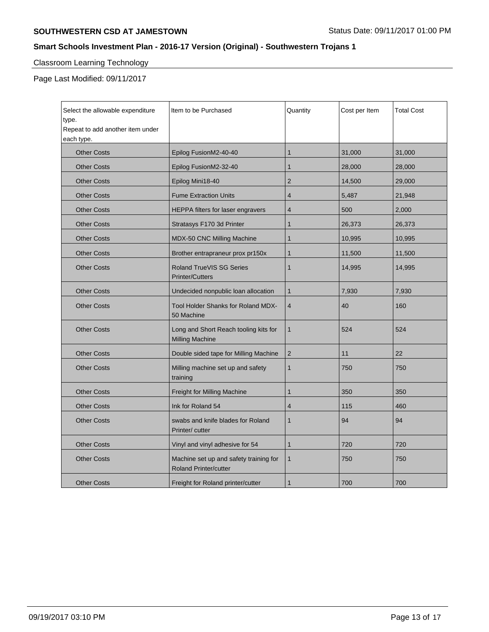## **SOUTHWESTERN CSD AT JAMESTOWN** STATUS Date: 09/11/2017 01:00 PM

## **Smart Schools Investment Plan - 2016-17 Version (Original) - Southwestern Trojans 1**

# Classroom Learning Technology

Page Last Modified: 09/11/2017

| Select the allowable expenditure<br>type.<br>Repeat to add another item under<br>each type. | Item to be Purchased                                                   | Quantity       | Cost per Item | <b>Total Cost</b> |
|---------------------------------------------------------------------------------------------|------------------------------------------------------------------------|----------------|---------------|-------------------|
| <b>Other Costs</b>                                                                          | Epilog FusionM2-40-40                                                  | $\mathbf 1$    | 31,000        | 31,000            |
| <b>Other Costs</b>                                                                          | Epilog FusionM2-32-40                                                  | $\mathbf{1}$   | 28,000        | 28,000            |
| <b>Other Costs</b>                                                                          | Epilog Mini18-40                                                       | $\overline{2}$ | 14,500        | 29,000            |
| <b>Other Costs</b>                                                                          | <b>Fume Extraction Units</b>                                           | $\overline{4}$ | 5,487         | 21,948            |
| <b>Other Costs</b>                                                                          | HEPPA filters for laser engravers                                      | 4              | 500           | 2,000             |
| <b>Other Costs</b>                                                                          | Stratasys F170 3d Printer                                              | $\mathbf 1$    | 26,373        | 26,373            |
| <b>Other Costs</b>                                                                          | MDX-50 CNC Milling Machine                                             | 1              | 10,995        | 10,995            |
| <b>Other Costs</b>                                                                          | Brother entrapraneur prox pr150x                                       | $\mathbf 1$    | 11,500        | 11,500            |
| <b>Other Costs</b>                                                                          | <b>Roland TrueVIS SG Series</b><br><b>Printer/Cutters</b>              | 1              | 14,995        | 14,995            |
| <b>Other Costs</b>                                                                          | Undecided nonpublic loan allocation                                    | $\mathbf{1}$   | 7,930         | 7,930             |
| <b>Other Costs</b>                                                                          | Tool Holder Shanks for Roland MDX-<br>50 Machine                       | $\overline{4}$ | 40            | 160               |
| <b>Other Costs</b>                                                                          | Long and Short Reach tooling kits for<br>Milling Machine               | $\mathbf{1}$   | 524           | 524               |
| <b>Other Costs</b>                                                                          | Double sided tape for Milling Machine                                  | $\overline{2}$ | 11            | 22                |
| <b>Other Costs</b>                                                                          | Milling machine set up and safety<br>training                          | $\mathbf{1}$   | 750           | 750               |
| <b>Other Costs</b>                                                                          | Freight for Milling Machine                                            | 1              | 350           | 350               |
| <b>Other Costs</b>                                                                          | Ink for Roland 54                                                      | 4              | 115           | 460               |
| <b>Other Costs</b>                                                                          | swabs and knife blades for Roland<br>Printer/cutter                    | $\mathbf{1}$   | 94            | 94                |
| <b>Other Costs</b>                                                                          | Vinyl and vinyl adhesive for 54                                        | $\mathbf{1}$   | 720           | 720               |
| <b>Other Costs</b>                                                                          | Machine set up and safety training for<br><b>Roland Printer/cutter</b> | $\mathbf{1}$   | 750           | 750               |
| <b>Other Costs</b>                                                                          | Freight for Roland printer/cutter                                      | 1              | 700           | 700               |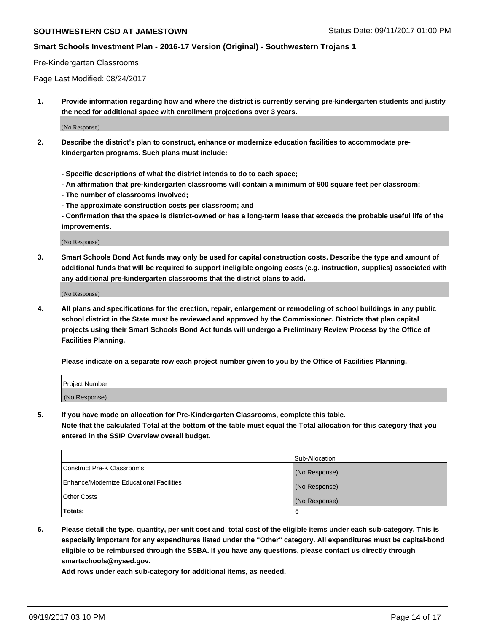## **Smart Schools Investment Plan - 2016-17 Version (Original) - Southwestern Trojans 1**

#### Pre-Kindergarten Classrooms

Page Last Modified: 08/24/2017

**1. Provide information regarding how and where the district is currently serving pre-kindergarten students and justify the need for additional space with enrollment projections over 3 years.**

(No Response)

- **2. Describe the district's plan to construct, enhance or modernize education facilities to accommodate prekindergarten programs. Such plans must include:**
	- **Specific descriptions of what the district intends to do to each space;**
	- **An affirmation that pre-kindergarten classrooms will contain a minimum of 900 square feet per classroom;**
	- **The number of classrooms involved;**
	- **The approximate construction costs per classroom; and**
	- **Confirmation that the space is district-owned or has a long-term lease that exceeds the probable useful life of the improvements.**

(No Response)

**3. Smart Schools Bond Act funds may only be used for capital construction costs. Describe the type and amount of additional funds that will be required to support ineligible ongoing costs (e.g. instruction, supplies) associated with any additional pre-kindergarten classrooms that the district plans to add.**

(No Response)

**4. All plans and specifications for the erection, repair, enlargement or remodeling of school buildings in any public school district in the State must be reviewed and approved by the Commissioner. Districts that plan capital projects using their Smart Schools Bond Act funds will undergo a Preliminary Review Process by the Office of Facilities Planning.**

**Please indicate on a separate row each project number given to you by the Office of Facilities Planning.**

| Project Number |  |
|----------------|--|
| (No Response)  |  |

**5. If you have made an allocation for Pre-Kindergarten Classrooms, complete this table.**

**Note that the calculated Total at the bottom of the table must equal the Total allocation for this category that you entered in the SSIP Overview overall budget.**

|                                          | Sub-Allocation |
|------------------------------------------|----------------|
| Construct Pre-K Classrooms               | (No Response)  |
| Enhance/Modernize Educational Facilities | (No Response)  |
| <b>Other Costs</b>                       | (No Response)  |
| Totals:                                  | 0              |

**6. Please detail the type, quantity, per unit cost and total cost of the eligible items under each sub-category. This is especially important for any expenditures listed under the "Other" category. All expenditures must be capital-bond eligible to be reimbursed through the SSBA. If you have any questions, please contact us directly through smartschools@nysed.gov.**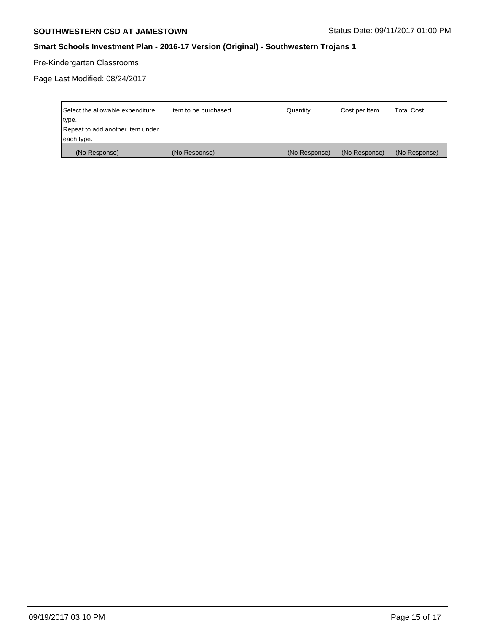## **SOUTHWESTERN CSD AT JAMESTOWN** STATUS Date: 09/11/2017 01:00 PM

## **Smart Schools Investment Plan - 2016-17 Version (Original) - Southwestern Trojans 1**

# Pre-Kindergarten Classrooms

Page Last Modified: 08/24/2017

| Select the allowable expenditure<br>type.<br>Repeat to add another item under | Item to be purchased | Quantity      | Cost per Item | <b>Total Cost</b> |
|-------------------------------------------------------------------------------|----------------------|---------------|---------------|-------------------|
| each type.                                                                    |                      |               |               |                   |
| (No Response)                                                                 | (No Response)        | (No Response) | (No Response) | (No Response)     |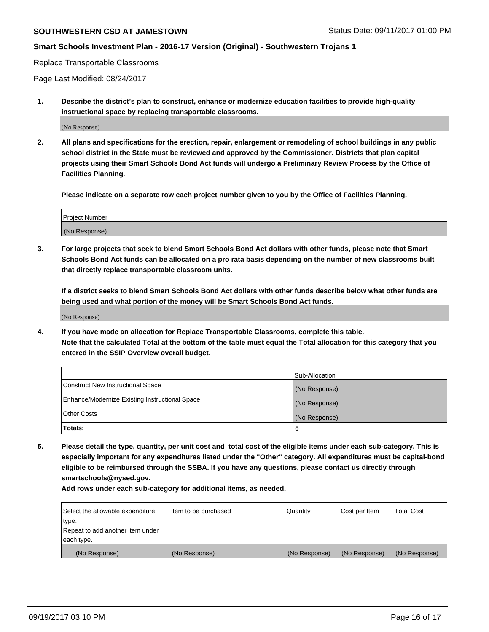## **Smart Schools Investment Plan - 2016-17 Version (Original) - Southwestern Trojans 1**

#### Replace Transportable Classrooms

Page Last Modified: 08/24/2017

**1. Describe the district's plan to construct, enhance or modernize education facilities to provide high-quality instructional space by replacing transportable classrooms.**

(No Response)

**2. All plans and specifications for the erection, repair, enlargement or remodeling of school buildings in any public school district in the State must be reviewed and approved by the Commissioner. Districts that plan capital projects using their Smart Schools Bond Act funds will undergo a Preliminary Review Process by the Office of Facilities Planning.**

**Please indicate on a separate row each project number given to you by the Office of Facilities Planning.**

| <b>Project Number</b> |  |
|-----------------------|--|
| (No Response)         |  |

**3. For large projects that seek to blend Smart Schools Bond Act dollars with other funds, please note that Smart Schools Bond Act funds can be allocated on a pro rata basis depending on the number of new classrooms built that directly replace transportable classroom units.**

**If a district seeks to blend Smart Schools Bond Act dollars with other funds describe below what other funds are being used and what portion of the money will be Smart Schools Bond Act funds.**

(No Response)

**4. If you have made an allocation for Replace Transportable Classrooms, complete this table. Note that the calculated Total at the bottom of the table must equal the Total allocation for this category that you entered in the SSIP Overview overall budget.**

|                                                | Sub-Allocation |
|------------------------------------------------|----------------|
| Construct New Instructional Space              | (No Response)  |
| Enhance/Modernize Existing Instructional Space | (No Response)  |
| <b>Other Costs</b>                             | (No Response)  |
| Totals:                                        | 0              |

**5. Please detail the type, quantity, per unit cost and total cost of the eligible items under each sub-category. This is especially important for any expenditures listed under the "Other" category. All expenditures must be capital-bond eligible to be reimbursed through the SSBA. If you have any questions, please contact us directly through smartschools@nysed.gov.**

| Select the allowable expenditure | Item to be purchased | Quantity      | Cost per Item | <b>Total Cost</b> |
|----------------------------------|----------------------|---------------|---------------|-------------------|
| type.                            |                      |               |               |                   |
| Repeat to add another item under |                      |               |               |                   |
| each type.                       |                      |               |               |                   |
| (No Response)                    | (No Response)        | (No Response) | (No Response) | (No Response)     |